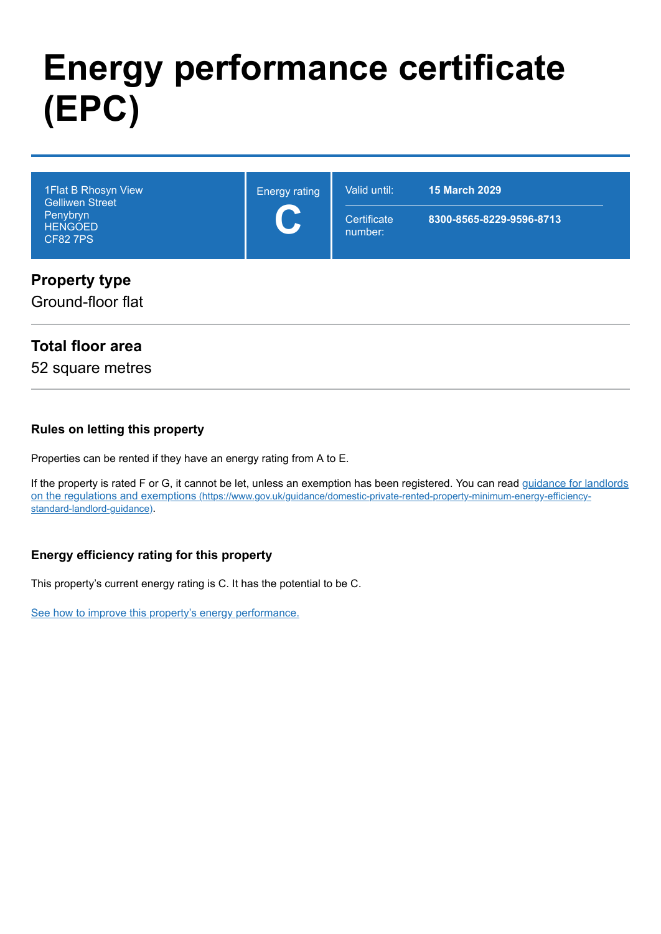# **Energy performance certificate (EPC)**

| 1 Flat B Rhosyn View<br><b>Gelliwen Street</b><br>Penybryn<br><b>HENGOED</b><br><b>CF827PS</b> | <b>Energy rating</b><br>$\blacktriangledown$ | Valid until:<br>Certificate<br>number: | <b>15 March 2029</b><br>8300-8565-8229-9596-8713 |
|------------------------------------------------------------------------------------------------|----------------------------------------------|----------------------------------------|--------------------------------------------------|
| <b>Property type</b>                                                                           |                                              |                                        |                                                  |

### Ground-floor flat

### **Total floor area**

52 square metres

#### **Rules on letting this property**

Properties can be rented if they have an energy rating from A to E.

[If the property is rated F or G, it cannot be let, unless an exemption has been registered. You can read guidance for landlords](https://www.gov.uk/guidance/domestic-private-rented-property-minimum-energy-efficiency-standard-landlord-guidance) on the regulations and exemptions (https://www.gov.uk/guidance/domestic-private-rented-property-minimum-energy-efficiencystandard-landlord-guidance).

### **Energy efficiency rating for this property**

This property's current energy rating is C. It has the potential to be C.

[See how to improve this property's energy performance.](#page-3-0)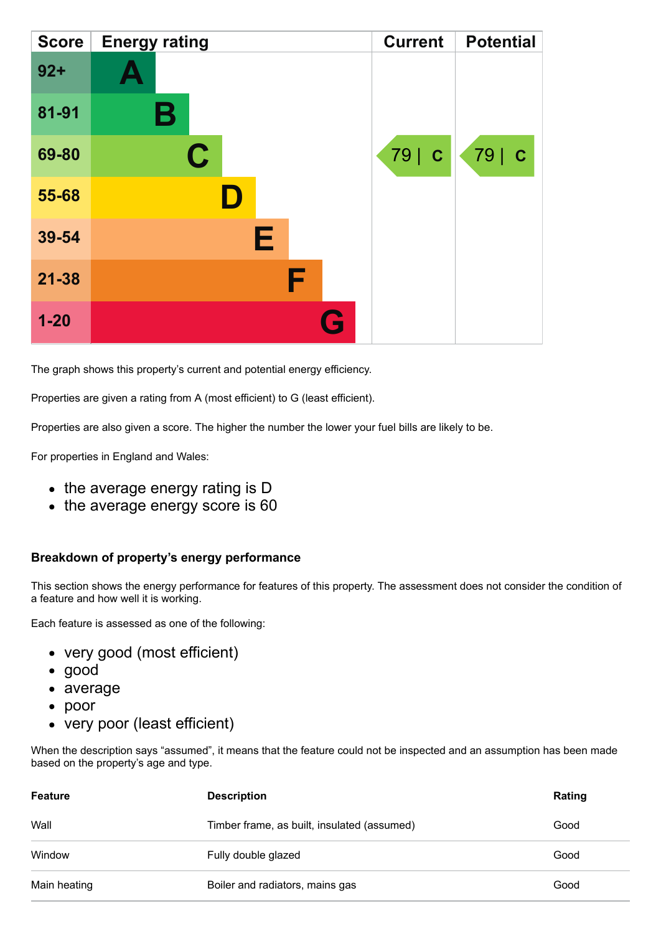| <b>Score</b> | <b>Energy rating</b> | <b>Current</b> | <b>Potential</b> |
|--------------|----------------------|----------------|------------------|
| $92 +$       |                      |                |                  |
| 81-91        | Β                    |                |                  |
| 69-80        | C                    | 79   C         | 79   C           |
| 55-68        |                      |                |                  |
| 39-54        | E                    |                |                  |
| $21 - 38$    | F                    |                |                  |
| $1 - 20$     | <b>Ay</b>            |                |                  |

The graph shows this property's current and potential energy efficiency.

Properties are given a rating from A (most efficient) to G (least efficient).

Properties are also given a score. The higher the number the lower your fuel bills are likely to be.

For properties in England and Wales:

- the average energy rating is D
- the average energy score is 60

#### **Breakdown of property's energy performance**

This section shows the energy performance for features of this property. The assessment does not consider the condition of a feature and how well it is working.

Each feature is assessed as one of the following:

- very good (most efficient)
- good
- average
- poor
- very poor (least efficient)

When the description says "assumed", it means that the feature could not be inspected and an assumption has been made based on the property's age and type.

| <b>Feature</b><br><b>Description</b> |                                             | Rating |
|--------------------------------------|---------------------------------------------|--------|
| Wall                                 | Timber frame, as built, insulated (assumed) | Good   |
| Window                               | Fully double glazed                         | Good   |
| Main heating                         | Boiler and radiators, mains gas             | Good   |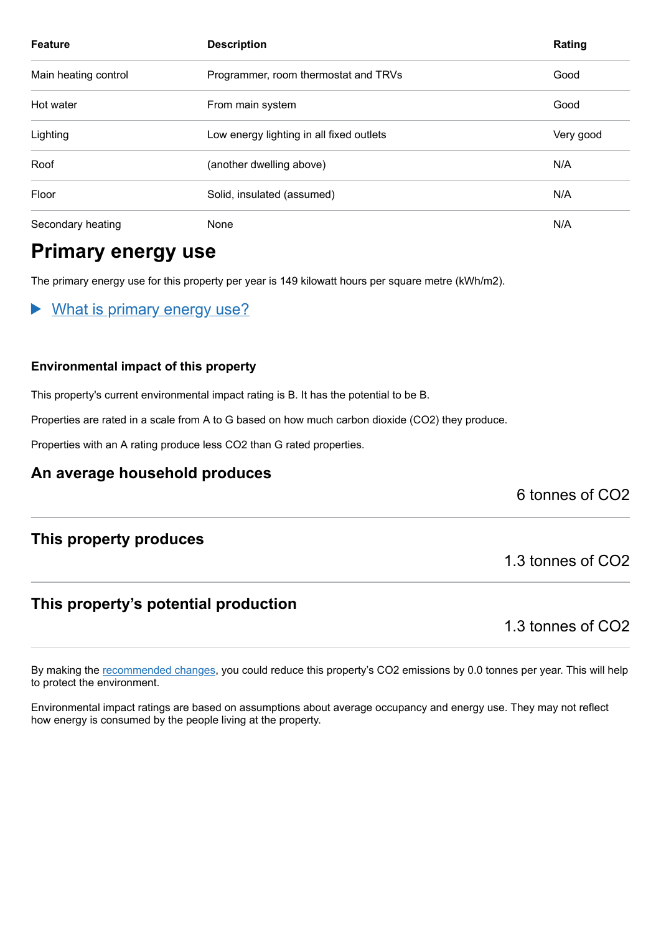| <b>Feature</b>       | <b>Description</b>                       | Rating    |
|----------------------|------------------------------------------|-----------|
| Main heating control | Programmer, room thermostat and TRVs     | Good      |
| Hot water            | From main system                         | Good      |
| Lighting             | Low energy lighting in all fixed outlets | Very good |
| Roof                 | (another dwelling above)                 | N/A       |
| Floor                | Solid, insulated (assumed)               | N/A       |
| Secondary heating    | None                                     | N/A       |

# **Primary energy use**

The primary energy use for this property per year is 149 kilowatt hours per square metre (kWh/m2).

What is primary energy use?  $\blacktriangleright$ 

#### **Environmental impact of this property**

This property's current environmental impact rating is B. It has the potential to be B.

Properties are rated in a scale from A to G based on how much carbon dioxide (CO2) they produce.

Properties with an A rating produce less CO2 than G rated properties.

### **An average household produces**

6 tonnes of CO2

### **This property produces**

### **This property's potential production**

1.3 tonnes of CO2

1.3 tonnes of CO2

By making the [recommended changes,](#page-3-0) you could reduce this property's CO2 emissions by 0.0 tonnes per year. This will help to protect the environment.

Environmental impact ratings are based on assumptions about average occupancy and energy use. They may not reflect how energy is consumed by the people living at the property.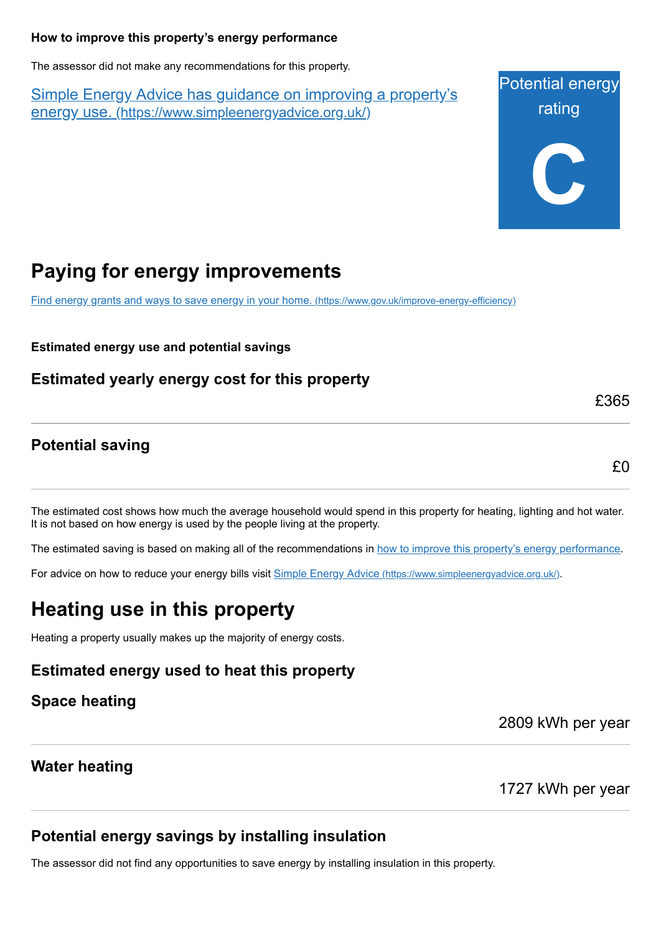#### <span id="page-3-0"></span>**How to improve this property's energy performance**

The assessor did not make any recommendations for this property.

Simple Energy Advice has guidance on improving a property's energy use. [\(https://www.simpleenergyadvice.org.uk/\)](https://www.simpleenergyadvice.org.uk/)

Potential energy rating **C**

# **Paying for energy improvements**

[Find energy grants and ways to save energy in your home.](https://www.gov.uk/improve-energy-efficiency) (https://www.gov.uk/improve-energy-efficiency)

**Estimated energy use and potential savings**

**Estimated yearly energy cost for this property**

### **Potential saving**

£0

£365

The estimated cost shows how much the average household would spend in this property for heating, lighting and hot water. It is not based on how energy is used by the people living at the property.

The estimated saving is based on making all of the recommendations in [how to improve this property's energy performance.](#page-3-0)

For advice on how to reduce your energy bills visit Simple Energy Advice [\(https://www.simpleenergyadvice.org.uk/\)](https://www.simpleenergyadvice.org.uk/).

# **Heating use in this property**

Heating a property usually makes up the majority of energy costs.

**Estimated energy used to heat this property**

**Space heating**

2809 kWh per year

## **Water heating**

1727 kWh per year

# **Potential energy savings by installing insulation**

The assessor did not find any opportunities to save energy by installing insulation in this property.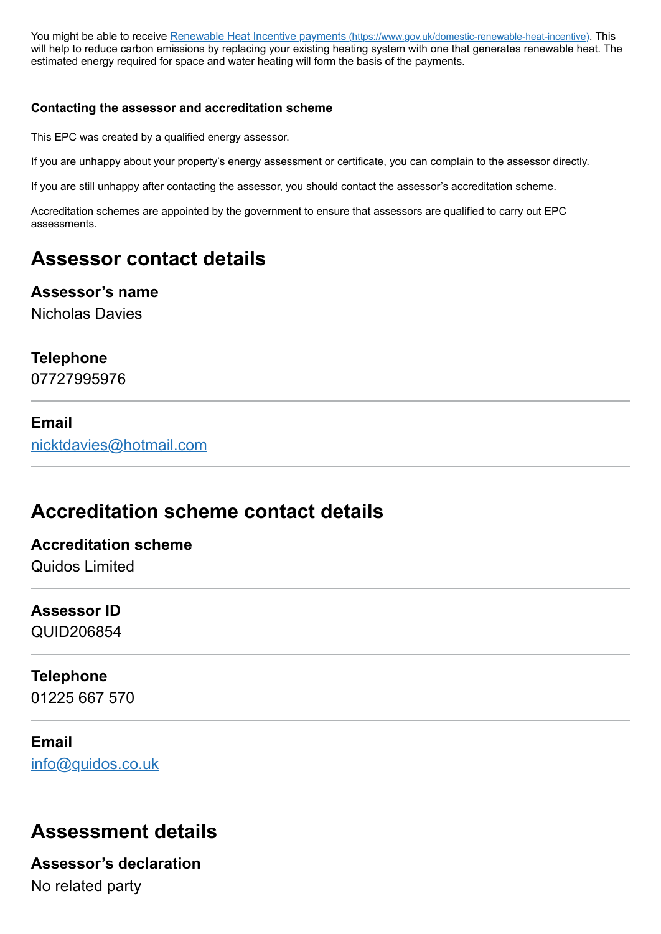You might be able to receive Renewable Heat Incentive payments [\(https://www.gov.uk/domestic-renewable-heat-incentive\)](https://www.gov.uk/domestic-renewable-heat-incentive). This will help to reduce carbon emissions by replacing your existing heating system with one that generates renewable heat. The estimated energy required for space and water heating will form the basis of the payments.

#### **Contacting the assessor and accreditation scheme**

This EPC was created by a qualified energy assessor.

If you are unhappy about your property's energy assessment or certificate, you can complain to the assessor directly.

If you are still unhappy after contacting the assessor, you should contact the assessor's accreditation scheme.

Accreditation schemes are appointed by the government to ensure that assessors are qualified to carry out EPC assessments.

# **Assessor contact details**

### **Assessor's name**

Nicholas Davies

### **Telephone**

07727995976

### **Email**

[nicktdavies@hotmail.com](mailto:nicktdavies@hotmail.com)

# **Accreditation scheme contact details**

### **Accreditation scheme** Quidos Limited

### **Assessor ID** QUID206854

## **Telephone**

01225 667 570

### **Email**

[info@quidos.co.uk](mailto:info@quidos.co.uk)

# **Assessment details**

**Assessor's declaration** No related party